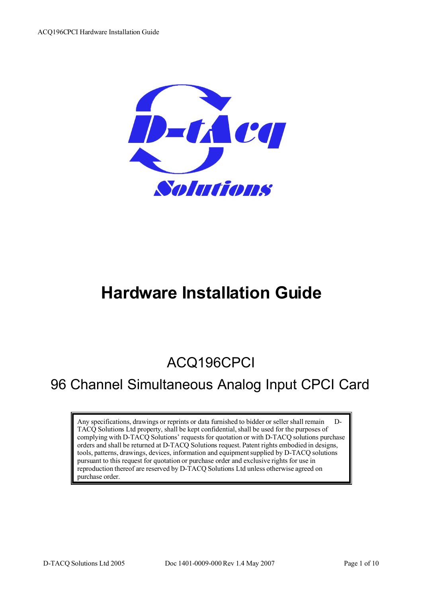

# **Hardware Installation Guide**

## ACQ196CPCI

## 96 Channel Simultaneous Analog Input CPCI Card

Any specifications, drawings or reprints or data furnished to bidder or seller shall remain D-TACQ Solutions Ltd property, shall be kept confidential, shall be used for the purposes of complying with D-TACQ Solutions' requests for quotation or with D-TACQ solutions purchase orders and shall be returned at D-TACQ Solutions request. Patent rights embodied in designs, tools, patterns, drawings, devices, information and equipment supplied by D-TACQ solutions pursuant to this request for quotation or purchase order and exclusive rights for use in reproduction thereof are reserved by D-TACQ Solutions Ltd unless otherwise agreed on purchase order.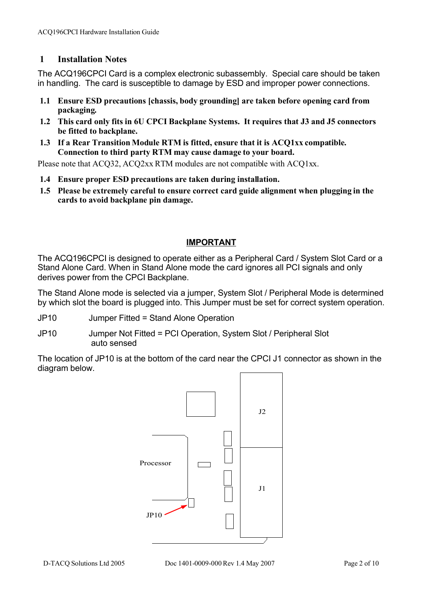#### **1 Installation Notes**

The ACQ196CPCI Card is a complex electronic subassembly. Special care should be taken in handling. The card is susceptible to damage by ESD and improper power connections.

- **1.1 Ensure ESD precautions [chassis, body grounding] are taken before opening card from packaging.**
- **1.2 This card only fits in 6U CPCI Backplane Systems. It requires that J3 and J5 connectors be fitted to backplane.**
- **1.3 If a Rear Transition Module RTM is fitted, ensure that it is ACQ1xx compatible. Connection to third party RTM may cause damage to your board.**

Please note that ACQ32, ACQ2xx RTM modules are not compatible with ACQ1xx.

- **1.4 Ensure proper ESD precautions are taken during installation.**
- **1.5 Please be extremely careful to ensure correct card guide alignment when plugging in the cards to avoid backplane pin damage.**

#### **IMPORTANT**

The ACQ196CPCI is designed to operate either as a Peripheral Card / System Slot Card or a Stand Alone Card. When in Stand Alone mode the card ignores all PCI signals and only derives power from the CPCI Backplane.

The Stand Alone mode is selected via a jumper, System Slot / Peripheral Mode is determined by which slot the board is plugged into. This Jumper must be set for correct system operation.

- JP10 Jumper Fitted = Stand Alone Operation
- JP10 Jumper Not Fitted = PCI Operation, System Slot / Peripheral Slot auto sensed

The location of JP10 is at the bottom of the card near the CPCI J1 connector as shown in the diagram below.

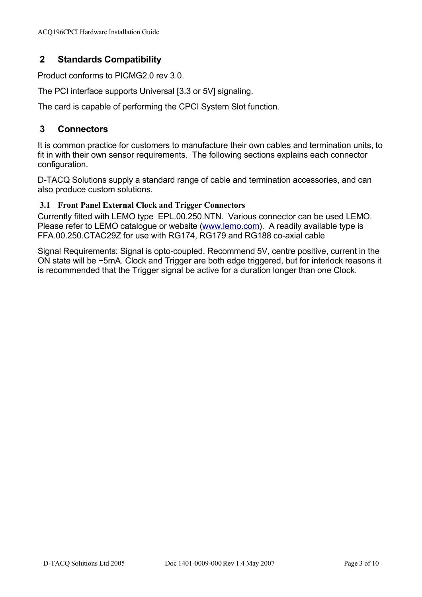## **2 Standards Compatibility**

Product conforms to PICMG2.0 rev 3.0.

The PCI interface supports Universal [3.3 or 5V] signaling.

The card is capable of performing the CPCI System Slot function.

#### **3 Connectors**

It is common practice for customers to manufacture their own cables and termination units, to fit in with their own sensor requirements. The following sections explains each connector configuration.

D-TACQ Solutions supply a standard range of cable and termination accessories, and can also produce custom solutions.

#### **3.1 Front Panel External Clock and Trigger Connectors**

Currently fitted with LEMO type EPL.00.250.NTN. Various connector can be used LEMO. Please refer to LEMO catalogue or website (www.lemo.com). A readily available type is FFA.00.250.CTAC29Z for use with RG174, RG179 and RG188 co-axial cable

Signal Requirements: Signal is opto-coupled. Recommend 5V, centre positive, current in the ON state will be ~5mA. Clock and Trigger are both edge triggered, but for interlock reasons it is recommended that the Trigger signal be active for a duration longer than one Clock.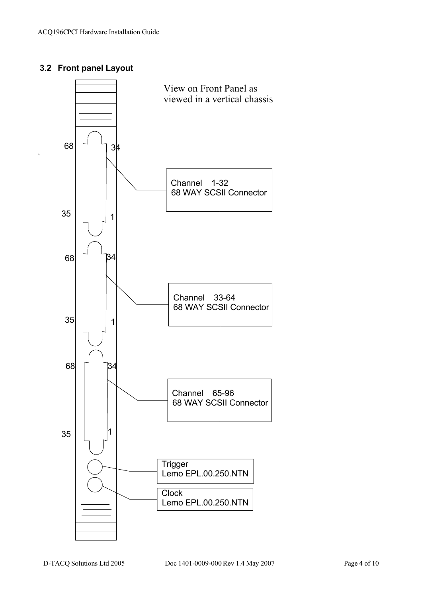### **3.2 Front panel Layout**

`

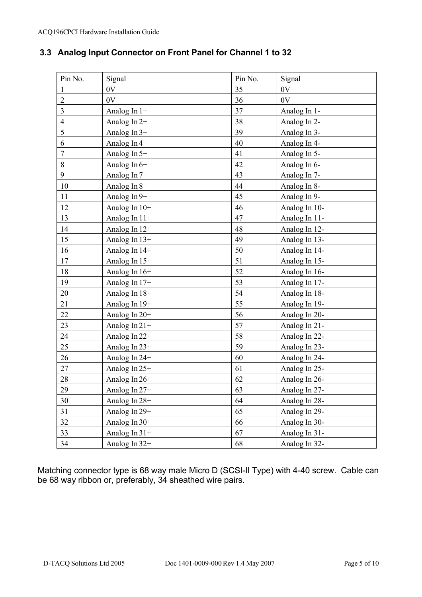## **3.3 Analog Input Connector on Front Panel for Channel 1 to 32**

| Pin No.        | Signal          | Pin No. | Signal        |
|----------------|-----------------|---------|---------------|
| $\mathbf{1}$   | 0V              | 35      | 0V            |
| $\overline{2}$ | 0V              | 36      | 0V            |
| 3              | Analog In $1+$  | 37      | Analog In 1-  |
| $\overline{4}$ | Analog In $2+$  | 38      | Analog In 2-  |
| 5              | Analog In $3+$  | 39      | Analog In 3-  |
| 6              | Analog In 4+    | 40      | Analog In 4-  |
| 7              | Analog In 5+    | 41      | Analog In 5-  |
| $8\,$          | Analog In 6+    | 42      | Analog In 6-  |
| 9              | Analog In 7+    | 43      | Analog In 7-  |
| 10             | Analog In $8+$  | 44      | Analog In 8-  |
| 11             | Analog In 9+    | 45      | Analog In 9-  |
| 12             | Analog In $10+$ | 46      | Analog In 10- |
| 13             | Analog In 11+   | 47      | Analog In 11- |
| 14             | Analog In 12+   | 48      | Analog In 12- |
| 15             | Analog In 13+   | 49      | Analog In 13- |
| 16             | Analog In 14+   | 50      | Analog In 14- |
| 17             | Analog In 15+   | 51      | Analog In 15- |
| 18             | Analog In 16+   | 52      | Analog In 16- |
| 19             | Analog In 17+   | 53      | Analog In 17- |
| 20             | Analog In 18+   | 54      | Analog In 18- |
| 21             | Analog In 19+   | 55      | Analog In 19- |
| 22             | Analog In $20+$ | 56      | Analog In 20- |
| 23             | Analog In $21+$ | 57      | Analog In 21- |
| 24             | Analog In 22+   | 58      | Analog In 22- |
| 25             | Analog In 23+   | 59      | Analog In 23- |
| 26             | Analog In 24+   | 60      | Analog In 24- |
| 27             | Analog In 25+   | 61      | Analog In 25- |
| 28             | Analog In 26+   | 62      | Analog In 26- |
| 29             | Analog In 27+   | 63      | Analog In 27- |
| 30             | Analog In 28+   | 64      | Analog In 28- |
| 31             | Analog In 29+   | 65      | Analog In 29- |
| 32             | Analog In $30+$ | 66      | Analog In 30- |
| 33             | Analog In $31+$ | 67      | Analog In 31- |
| 34             | Analog In 32+   | 68      | Analog In 32- |

Matching connector type is 68 way male Micro D (SCSI-II Type) with 4-40 screw. Cable can be 68 way ribbon or, preferably, 34 sheathed wire pairs.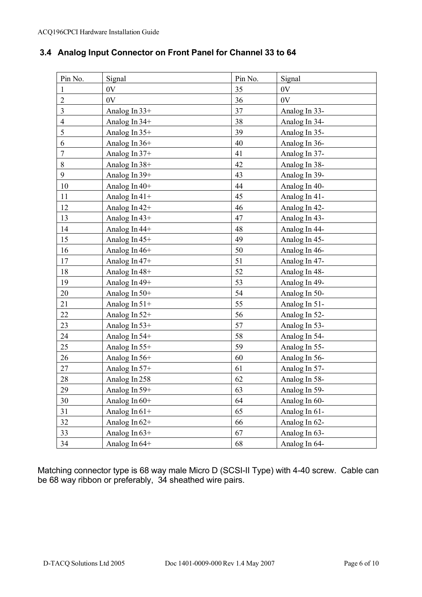## **3.4 Analog Input Connector on Front Panel for Channel 33 to 64**

| Pin No.        | Signal          | Pin No. | Signal        |
|----------------|-----------------|---------|---------------|
| $\mathbf{1}$   | 0V              | 35      | 0V            |
| $\overline{2}$ | 0V              | 36      | 0V            |
| 3              | Analog In $33+$ | 37      | Analog In 33- |
| $\overline{4}$ | Analog In 34+   | 38      | Analog In 34- |
| 5              | Analog In 35+   | 39      | Analog In 35- |
| 6              | Analog In 36+   | 40      | Analog In 36- |
| $\tau$         | Analog In 37+   | 41      | Analog In 37- |
| $8\,$          | Analog In 38+   | 42      | Analog In 38- |
| 9              | Analog In 39+   | 43      | Analog In 39- |
| 10             | Analog In 40+   | 44      | Analog In 40- |
| 11             | Analog In $41+$ | 45      | Analog In 41- |
| 12             | Analog In 42+   | 46      | Analog In 42- |
| 13             | Analog In 43+   | 47      | Analog In 43- |
| 14             | Analog In 44+   | 48      | Analog In 44- |
| 15             | Analog In 45+   | 49      | Analog In 45- |
| 16             | Analog In 46+   | 50      | Analog In 46- |
| 17             | Analog In 47+   | 51      | Analog In 47- |
| 18             | Analog In 48+   | 52      | Analog In 48- |
| 19             | Analog In 49+   | 53      | Analog In 49- |
| 20             | Analog In 50+   | 54      | Analog In 50- |
| 21             | Analog In $51+$ | 55      | Analog In 51- |
| 22             | Analog In 52+   | 56      | Analog In 52- |
| 23             | Analog In $53+$ | 57      | Analog In 53- |
| 24             | Analog In 54+   | 58      | Analog In 54- |
| 25             | Analog In 55+   | 59      | Analog In 55- |
| 26             | Analog In 56+   | 60      | Analog In 56- |
| 27             | Analog In 57+   | 61      | Analog In 57- |
| 28             | Analog In 258   | 62      | Analog In 58- |
| 29             | Analog In 59+   | 63      | Analog In 59- |
| 30             | Analog In 60+   | 64      | Analog In 60- |
| 31             | Analog In $61+$ | 65      | Analog In 61- |
| 32             | Analog In 62+   | 66      | Analog In 62- |
| 33             | Analog In 63+   | 67      | Analog In 63- |
| 34             | Analog In 64+   | 68      | Analog In 64- |

Matching connector type is 68 way male Micro D (SCSI-II Type) with 4-40 screw. Cable can be 68 way ribbon or preferably, 34 sheathed wire pairs.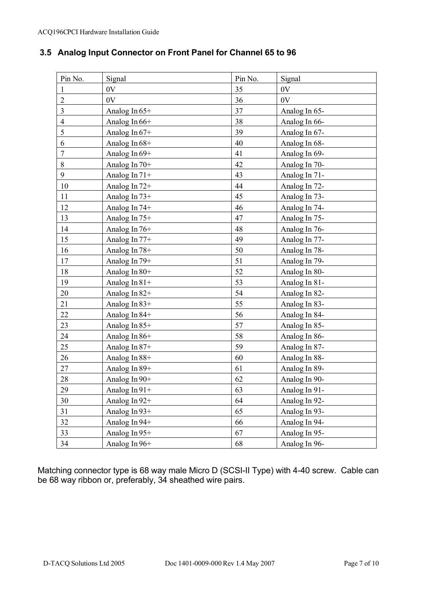## **3.5 Analog Input Connector on Front Panel for Channel 65 to 96**

| Pin No.        | Signal          | Pin No. | Signal        |
|----------------|-----------------|---------|---------------|
| 1              | 0V              | 35      | 0V            |
| $\overline{2}$ | 0V              | 36      | 0V            |
| 3              | Analog In 65+   | 37      | Analog In 65- |
| $\overline{4}$ | Analog In 66+   | 38      | Analog In 66- |
| 5              | Analog In $67+$ | 39      | Analog In 67- |
| 6              | Analog In 68+   | 40      | Analog In 68- |
| 7              | Analog In 69+   | 41      | Analog In 69- |
| $8\,$          | Analog In 70+   | 42      | Analog In 70- |
| 9              | Analog In $71+$ | 43      | Analog In 71- |
| 10             | Analog In $72+$ | 44      | Analog In 72- |
| 11             | Analog In 73+   | 45      | Analog In 73- |
| 12             | Analog In 74+   | 46      | Analog In 74- |
| 13             | Analog In 75+   | 47      | Analog In 75- |
| 14             | Analog In $76+$ | 48      | Analog In 76- |
| 15             | Analog In $77+$ | 49      | Analog In 77- |
| 16             | Analog In 78+   | 50      | Analog In 78- |
| 17             | Analog In 79+   | 51      | Analog In 79- |
| 18             | Analog In 80+   | 52      | Analog In 80- |
| 19             | Analog In 81+   | 53      | Analog In 81- |
| 20             | Analog In 82+   | 54      | Analog In 82- |
| 21             | Analog In $83+$ | 55      | Analog In 83- |
| 22             | Analog In 84+   | 56      | Analog In 84- |
| 23             | Analog In 85+   | 57      | Analog In 85- |
| 24             | Analog In 86+   | 58      | Analog In 86- |
| 25             | Analog In 87+   | 59      | Analog In 87- |
| 26             | Analog In 88+   | 60      | Analog In 88- |
| 27             | Analog In 89+   | 61      | Analog In 89- |
| 28             | Analog In 90+   | 62      | Analog In 90- |
| 29             | Analog In 91+   | 63      | Analog In 91- |
| 30             | Analog In 92+   | 64      | Analog In 92- |
| 31             | Analog In $93+$ | 65      | Analog In 93- |
| 32             | Analog In 94+   | 66      | Analog In 94- |
| 33             | Analog In 95+   | 67      | Analog In 95- |
| 34             | Analog In 96+   | 68      | Analog In 96- |

Matching connector type is 68 way male Micro D (SCSI-II Type) with 4-40 screw. Cable can be 68 way ribbon or, preferably, 34 sheathed wire pairs.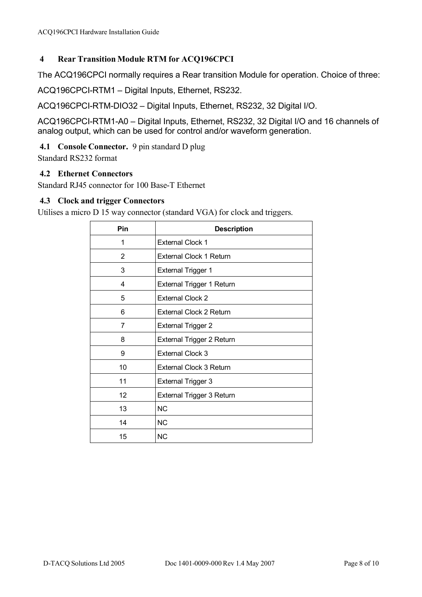#### **4 Rear Transition Module RTM for ACQ196CPCI**

The ACQ196CPCI normally requires a Rear transition Module for operation. Choice of three:

ACQ196CPCI-RTM1 – Digital Inputs, Ethernet, RS232.

ACQ196CPCI-RTM-DIO32 – Digital Inputs, Ethernet, RS232, 32 Digital I/O.

ACQ196CPCI-RTM1-A0 – Digital Inputs, Ethernet, RS232, 32 Digital I/O and 16 channels of analog output, which can be used for control and/or waveform generation.

#### **4.1 Console Connector.** 9 pin standard D plug

Standard RS232 format

#### **4.2 Ethernet Connectors**

Standard RJ45 connector for 100 Base-T Ethernet

#### **4.3 Clock and trigger Connectors**

Utilises a micro D 15 way connector (standard VGA) for clock and triggers.

| Pin | <b>Description</b>             |
|-----|--------------------------------|
| 1   | <b>External Clock 1</b>        |
| 2   | <b>External Clock 1 Return</b> |
| 3   | <b>External Trigger 1</b>      |
| 4   | External Trigger 1 Return      |
| 5   | <b>External Clock 2</b>        |
| 6   | <b>External Clock 2 Return</b> |
| 7   | <b>External Trigger 2</b>      |
| 8   | External Trigger 2 Return      |
| 9   | <b>External Clock 3</b>        |
| 10  | <b>External Clock 3 Return</b> |
| 11  | <b>External Trigger 3</b>      |
| 12  | External Trigger 3 Return      |
| 13  | <b>NC</b>                      |
| 14  | <b>NC</b>                      |
| 15  | <b>NC</b>                      |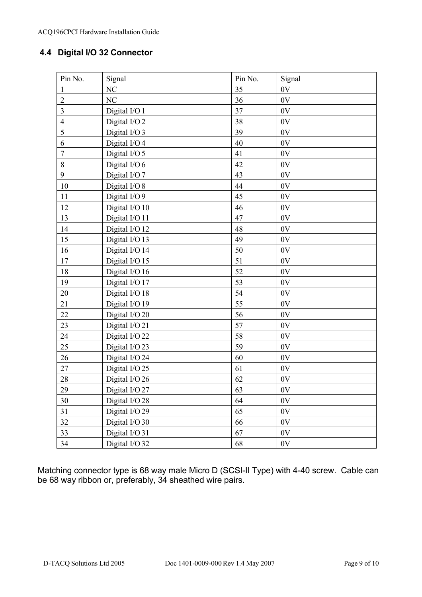## **4.4 Digital I/O 32 Connector**

| Pin No.        | Signal         | Pin No. | Signal        |
|----------------|----------------|---------|---------------|
| $\mathbf{1}$   | NC             | 35      | 0V            |
| $\overline{2}$ | NC             | 36      | 0V            |
| $\overline{3}$ | Digital I/O 1  | 37      | 0V            |
| $\overline{4}$ | Digital I/O 2  | 38      | 0V            |
| 5              | Digital I/O 3  | 39      | 0V            |
| 6              | Digital I/O 4  | 40      | 0V            |
| $\sqrt{ }$     | Digital I/O 5  | 41      | 0V            |
| $8\,$          | Digital I/O 6  | 42      | 0V            |
| 9              | Digital I/O 7  | 43      | 0V            |
| 10             | Digital I/O 8  | 44      | 0V            |
| 11             | Digital I/O 9  | 45      | 0V            |
| 12             | Digital I/O 10 | 46      | 0V            |
| 13             | Digital I/O 11 | 47      | 0V            |
| 14             | Digital I/O 12 | 48      | 0V            |
| 15             | Digital I/O 13 | 49      | 0V            |
| 16             | Digital I/O 14 | 50      | 0V            |
| 17             | Digital I/O 15 | 51      | 0V            |
| 18             | Digital I/O 16 | 52      | 0V            |
| 19             | Digital I/O 17 | 53      | 0V            |
| 20             | Digital I/O 18 | 54      | 0V            |
| 21             | Digital I/O 19 | 55      | 0V            |
| 22             | Digital I/O 20 | 56      | 0V            |
| 23             | Digital I/O 21 | 57      | 0V            |
| 24             | Digital I/O 22 | 58      | 0V            |
| 25             | Digital I/O 23 | 59      | 0V            |
| 26             | Digital I/O 24 | 60      | 0V            |
| 27             | Digital I/O 25 | 61      | 0V            |
| 28             | Digital I/O 26 | 62      | 0V            |
| 29             | Digital I/O 27 | 63      | $0\mathrm{V}$ |
| 30             | Digital I/O 28 | 64      | 0V            |
| 31             | Digital I/O 29 | 65      | $0\mathrm{V}$ |
| 32             | Digital I/O 30 | 66      | 0V            |
| 33             | Digital I/O 31 | 67      | 0V            |
| 34             | Digital I/O 32 | 68      | 0V            |

Matching connector type is 68 way male Micro D (SCSI-II Type) with 4-40 screw. Cable can be 68 way ribbon or, preferably, 34 sheathed wire pairs.